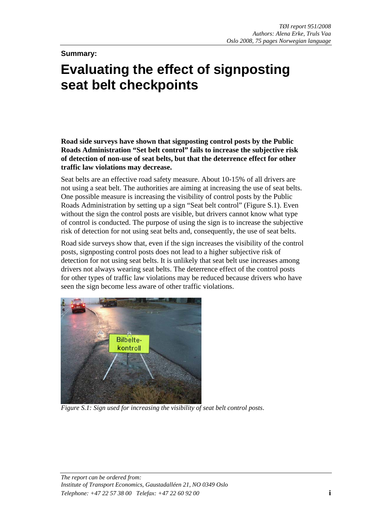**Summary:** 

# **Evaluating the effect of signposting seat belt checkpoints**

**Road side surveys have shown that signposting control posts by the Public Roads Administration "Set belt control" fails to increase the subjective risk of detection of non-use of seat belts, but that the deterrence effect for other traffic law violations may decrease.** 

Seat belts are an effective road safety measure. About 10-15% of all drivers are not using a seat belt. The authorities are aiming at increasing the use of seat belts. One possible measure is increasing the visibility of control posts by the Public Roads Administration by setting up a sign "Seat belt control" (Figure S.1). Even without the sign the control posts are visible, but drivers cannot know what type of control is conducted. The purpose of using the sign is to increase the subjective risk of detection for not using seat belts and, consequently, the use of seat belts.

Road side surveys show that, even if the sign increases the visibility of the control posts, signposting control posts does not lead to a higher subjective risk of detection for not using seat belts. It is unlikely that seat belt use increases among drivers not always wearing seat belts. The deterrence effect of the control posts for other types of traffic law violations may be reduced because drivers who have seen the sign become less aware of other traffic violations.



*Figure S.1: Sign used for increasing the visibility of seat belt control posts*.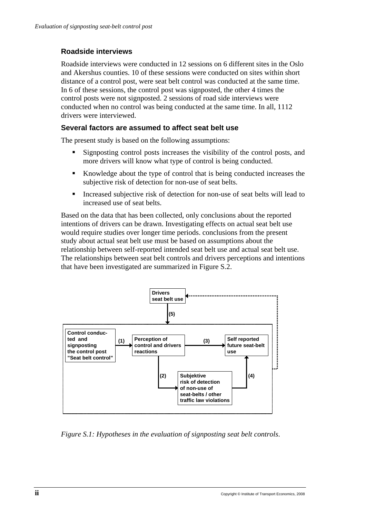#### **Roadside interviews**

Roadside interviews were conducted in 12 sessions on 6 different sites in the Oslo and Akershus counties. 10 of these sessions were conducted on sites within short distance of a control post, were seat belt control was conducted at the same time. In 6 of these sessions, the control post was signposted, the other 4 times the control posts were not signposted. 2 sessions of road side interviews were conducted when no control was being conducted at the same time. In all, 1112 drivers were interviewed.

#### **Several factors are assumed to affect seat belt use**

The present study is based on the following assumptions:

- Signposting control posts increases the visibility of the control posts, and more drivers will know what type of control is being conducted.
- Knowledge about the type of control that is being conducted increases the subjective risk of detection for non-use of seat belts.
- Increased subjective risk of detection for non-use of seat belts will lead to increased use of seat belts.

Based on the data that has been collected, only conclusions about the reported intentions of drivers can be drawn. Investigating effects on actual seat belt use would require studies over longer time periods. conclusions from the present study about actual seat belt use must be based on assumptions about the relationship between self-reported intended seat belt use and actual seat belt use. The relationships between seat belt controls and drivers perceptions and intentions that have been investigated are summarized in Figure S.2.



*Figure S.1: Hypotheses in the evaluation of signposting seat belt controls*.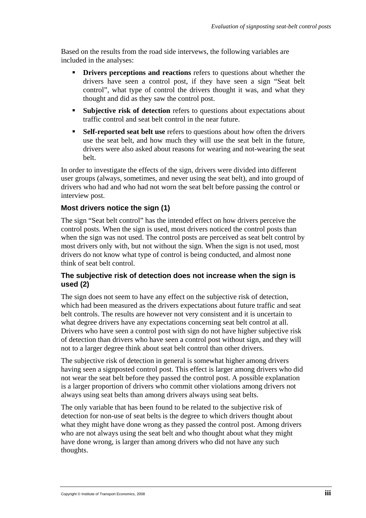Based on the results from the road side intervews, the following variables are included in the analyses:

- **Drivers perceptions and reactions** refers to questions about whether the drivers have seen a control post, if they have seen a sign "Seat belt control", what type of control the drivers thought it was, and what they thought and did as they saw the control post.
- **Subjective risk of detection** refers to questions about expectations about traffic control and seat belt control in the near future.
- **Self-reported seat belt use** refers to questions about how often the drivers use the seat belt, and how much they will use the seat belt in the future, drivers were also asked about reasons for wearing and not-wearing the seat belt.

In order to investigate the effects of the sign, drivers were divided into different user groups (always, sometimes, and never using the seat belt), and into groupd of drivers who had and who had not worn the seat belt before passing the control or interview post.

# **Most drivers notice the sign (1)**

The sign "Seat belt control" has the intended effect on how drivers perceive the control posts. When the sign is used, most drivers noticed the control posts than when the sign was not used. The control posts are perceived as seat belt control by most drivers only with, but not without the sign. When the sign is not used, most drivers do not know what type of control is being conducted, and almost none think of seat belt control.

#### **The subjective risk of detection does not increase when the sign is used (2)**

The sign does not seem to have any effect on the subjective risk of detection, which had been measured as the drivers expectations about future traffic and seat belt controls. The results are however not very consistent and it is uncertain to what degree drivers have any expectations concerning seat belt control at all. Drivers who have seen a control post with sign do not have higher subjective risk of detection than drivers who have seen a control post without sign, and they will not to a larger degree think about seat belt control than other drivers.

The subjective risk of detection in general is somewhat higher among drivers having seen a signposted control post. This effect is larger among drivers who did not wear the seat belt before they passed the control post. A possible explanation is a larger proportion of drivers who commit other violations among drivers not always using seat belts than among drivers always using seat belts.

The only variable that has been found to be related to the subjective risk of detection for non-use of seat belts is the degree to which drivers thought about what they might have done wrong as they passed the control post. Among drivers who are not always using the seat belt and who thought about what they might have done wrong, is larger than among drivers who did not have any such thoughts.